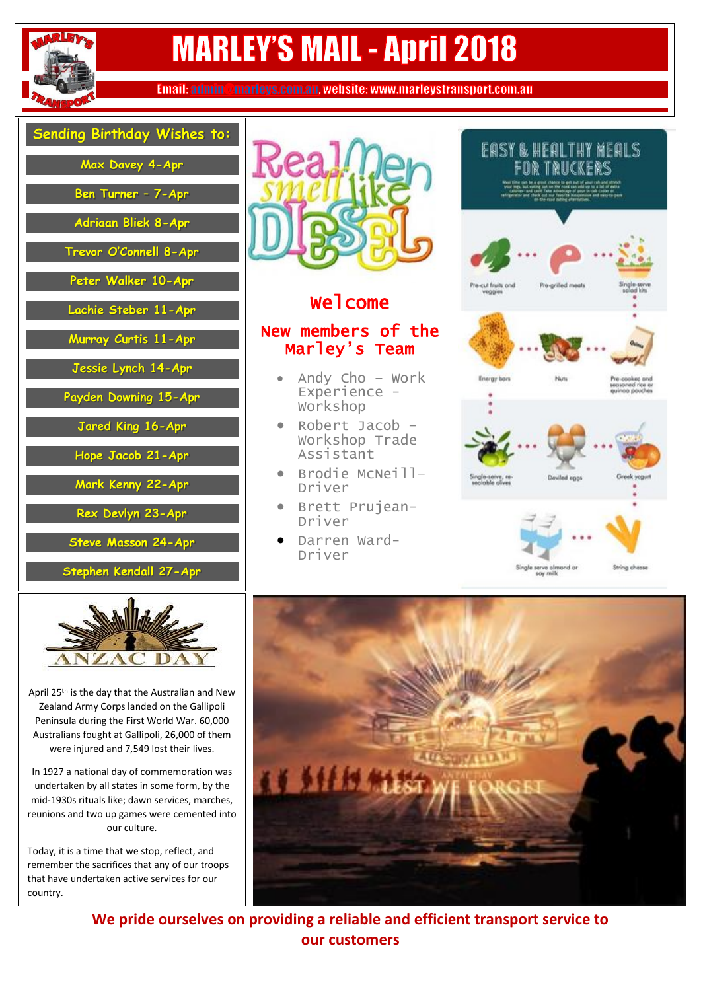

# **MARLEY'S MAIL - April 2018**

Email: admin@marleys.com.au, website: www.marleystransport.com.au

| Sending Birthday Wishes to: |  |
|-----------------------------|--|
| Max Davey 4-Apr             |  |
| Ben Turner - 7-Apr          |  |
| Adriaan Bliek 8-Apr         |  |
| Trevor O'Connell 8-Apr      |  |
| Peter Walker 10-Apr         |  |
| Lachie Steber 11-Apr        |  |
| Murray Curtis 11-Apr        |  |
| Jessie Lynch 14-Apr         |  |
| Payden Downing 15-Apr       |  |
| Jared King 16-Apr           |  |
| Hope Jacob 21-Apr           |  |
| Mark Kenny 22-Apr           |  |
| Rex Devlyn 23-Apr           |  |
| <b>Steve Masson 24-Apr</b>  |  |
| Stephen Kendall 27-Apr      |  |
| And latelle                 |  |



April 25<sup>th</sup> is the day that the Australian and New Zealand Army Corps landed on the Gallipoli Peninsula during the First World War. 60,000 Australians fought at Gallipoli, 26,000 of them were injured and 7,549 lost their lives.

In 1927 a national day of commemoration was undertaken by all states in some form, by the mid-1930s rituals like; dawn services, marches, reunions and two up games were cemented into our culture.

Today, it is a time that we stop, reflect, and remember the sacrifices that any of our troops that have undertaken active services for our country.



## **Welcome**

### New members of the Marley's Team

- Andy Cho Work Experience - Workshop
- Robert Jacob Workshop Trade Assistant
- Brodie McNeill– Driver
- **•** Brett Prujean-Driver
- Darren Ward-Driver





**We pride ourselves on providing a reliable and efficient transport service to our customers**